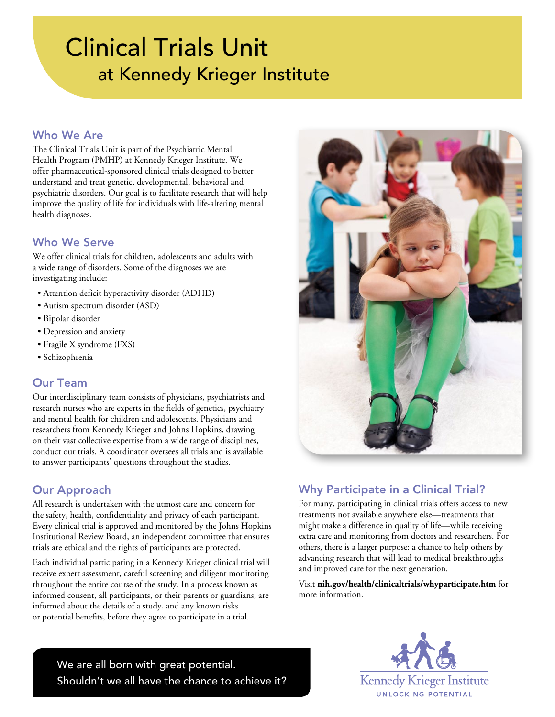# Clinical Trials Unit at Kennedy Krieger Institute

#### Who We Are

The Clinical Trials Unit is part of the Psychiatric Mental Health Program (PMHP) at Kennedy Krieger Institute. We offer pharmaceutical-sponsored clinical trials designed to better understand and treat genetic, developmental, behavioral and psychiatric disorders. Our goal is to facilitate research that will help improve the quality of life for individuals with life-altering mental health diagnoses.

# Who We Serve

We offer clinical trials for children, adolescents and adults with a wide range of disorders. Some of the diagnoses we are investigating include:

- Attention deficit hyperactivity disorder (ADHD)
- Autism spectrum disorder (ASD)
- Bipolar disorder
- Depression and anxiety
- Fragile X syndrome (FXS)
- Schizophrenia

### Our Team

Our interdisciplinary team consists of physicians, psychiatrists and research nurses who are experts in the fields of genetics, psychiatry and mental health for children and adolescents. Physicians and researchers from Kennedy Krieger and Johns Hopkins, drawing on their vast collective expertise from a wide range of disciplines, conduct our trials. A coordinator oversees all trials and is available to answer participants' questions throughout the studies.

# Our Approach

All research is undertaken with the utmost care and concern for the safety, health, confidentiality and privacy of each participant. Every clinical trial is approved and monitored by the Johns Hopkins Institutional Review Board, an independent committee that ensures trials are ethical and the rights of participants are protected.

Each individual participating in a Kennedy Krieger clinical trial will receive expert assessment, careful screening and diligent monitoring throughout the entire course of the study. In a process known as informed consent, all participants, or their parents or guardians, are informed about the details of a study, and any known risks or potential benefits, before they agree to participate in a trial.



# Why Participate in a Clinical Trial?

For many, participating in clinical trials offers access to new treatments not available anywhere else—treatments that might make a difference in quality of life—while receiving extra care and monitoring from doctors and researchers. For others, there is a larger purpose: a chance to help others by advancing research that will lead to medical breakthroughs and improved care for the next generation.

Visit **[nih.gov/health/clinicaltrials/whyparticipate.htm](http://nih.gov/health/clinicaltrials/whyparticipate.htm)** for more information.

We are all born with great potential. Shouldn't we all have the chance to achieve it?